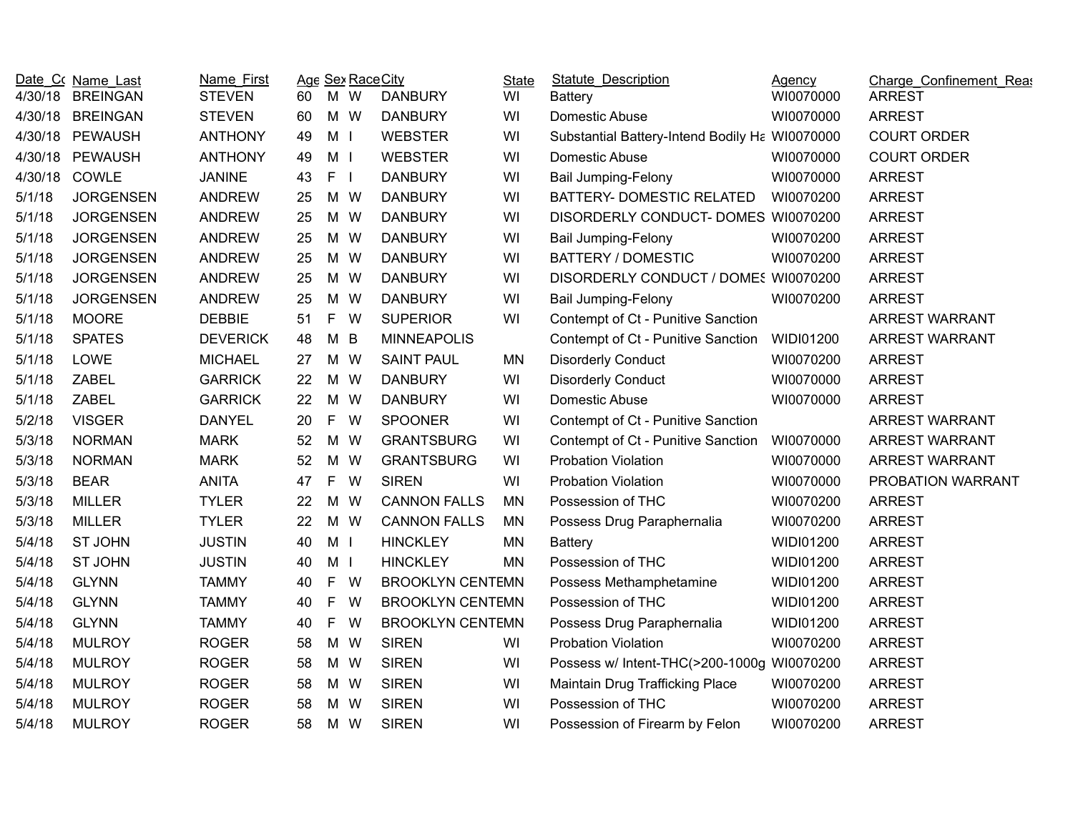| 4/30/18 | Date Co Name Last<br><b>BREINGAN</b> | Name First<br><b>STEVEN</b> | 60 | Age Sex Race City<br>M W      | <b>DANBURY</b>          | <b>State</b><br>WI | <b>Statute Description</b><br><b>Battery</b>   | Agency<br>WI0070000 | Charge Confinement Reas<br><b>ARREST</b> |
|---------|--------------------------------------|-----------------------------|----|-------------------------------|-------------------------|--------------------|------------------------------------------------|---------------------|------------------------------------------|
| 4/30/18 | <b>BREINGAN</b>                      | <b>STEVEN</b>               | 60 | M W                           | <b>DANBURY</b>          | WI                 | Domestic Abuse                                 | WI0070000           | <b>ARREST</b>                            |
| 4/30/18 | <b>PEWAUSH</b>                       | <b>ANTHONY</b>              | 49 | M <sub>1</sub>                | <b>WEBSTER</b>          | WI                 | Substantial Battery-Intend Bodily Ha WI0070000 |                     | <b>COURT ORDER</b>                       |
| 4/30/18 | <b>PEWAUSH</b>                       | <b>ANTHONY</b>              | 49 | M I                           | <b>WEBSTER</b>          | WI                 | Domestic Abuse                                 | WI0070000           | <b>COURT ORDER</b>                       |
| 4/30/18 | COWLE                                | <b>JANINE</b>               | 43 | $\mathsf F$<br>$\blacksquare$ | <b>DANBURY</b>          | WI                 | <b>Bail Jumping-Felony</b>                     | WI0070000           | <b>ARREST</b>                            |
| 5/1/18  | <b>JORGENSEN</b>                     | <b>ANDREW</b>               | 25 | M W                           | <b>DANBURY</b>          | WI                 | BATTERY- DOMESTIC RELATED                      | WI0070200           | <b>ARREST</b>                            |
| 5/1/18  | <b>JORGENSEN</b>                     | <b>ANDREW</b>               | 25 | M W                           | <b>DANBURY</b>          | WI                 | DISORDERLY CONDUCT- DOMES WI0070200            |                     | <b>ARREST</b>                            |
| 5/1/18  | <b>JORGENSEN</b>                     | <b>ANDREW</b>               | 25 | M W                           | <b>DANBURY</b>          | WI                 | <b>Bail Jumping-Felony</b>                     | WI0070200           | <b>ARREST</b>                            |
| 5/1/18  | <b>JORGENSEN</b>                     | <b>ANDREW</b>               | 25 | M W                           | <b>DANBURY</b>          | WI                 | <b>BATTERY / DOMESTIC</b>                      | WI0070200           | <b>ARREST</b>                            |
| 5/1/18  | <b>JORGENSEN</b>                     | <b>ANDREW</b>               | 25 | M W                           | <b>DANBURY</b>          | WI                 | DISORDERLY CONDUCT / DOMES W10070200           |                     | <b>ARREST</b>                            |
| 5/1/18  | <b>JORGENSEN</b>                     | <b>ANDREW</b>               | 25 | M W                           | <b>DANBURY</b>          | WI                 | <b>Bail Jumping-Felony</b>                     | WI0070200           | <b>ARREST</b>                            |
| 5/1/18  | <b>MOORE</b>                         | <b>DEBBIE</b>               | 51 | $\mathsf{F}$<br>W             | <b>SUPERIOR</b>         | WI                 | Contempt of Ct - Punitive Sanction             |                     | <b>ARREST WARRANT</b>                    |
| 5/1/18  | <b>SPATES</b>                        | <b>DEVERICK</b>             | 48 | M B                           | <b>MINNEAPOLIS</b>      |                    | Contempt of Ct - Punitive Sanction WIDI01200   |                     | ARREST WARRANT                           |
| 5/1/18  | LOWE                                 | <b>MICHAEL</b>              | 27 | M W                           | <b>SAINT PAUL</b>       | <b>MN</b>          | <b>Disorderly Conduct</b>                      | WI0070200           | <b>ARREST</b>                            |
| 5/1/18  | <b>ZABEL</b>                         | <b>GARRICK</b>              | 22 | M W                           | <b>DANBURY</b>          | WI                 | <b>Disorderly Conduct</b>                      | WI0070000           | <b>ARREST</b>                            |
| 5/1/18  | <b>ZABEL</b>                         | <b>GARRICK</b>              | 22 | M W                           | <b>DANBURY</b>          | WI                 | Domestic Abuse                                 | WI0070000           | <b>ARREST</b>                            |
| 5/2/18  | <b>VISGER</b>                        | <b>DANYEL</b>               | 20 | $\mathsf{F}$<br>W             | <b>SPOONER</b>          | WI                 | Contempt of Ct - Punitive Sanction             |                     | ARREST WARRANT                           |
| 5/3/18  | <b>NORMAN</b>                        | <b>MARK</b>                 | 52 | M W                           | <b>GRANTSBURG</b>       | WI                 | Contempt of Ct - Punitive Sanction             | WI0070000           | ARREST WARRANT                           |
| 5/3/18  | <b>NORMAN</b>                        | <b>MARK</b>                 | 52 | M W                           | <b>GRANTSBURG</b>       | WI                 | <b>Probation Violation</b>                     | WI0070000           | <b>ARREST WARRANT</b>                    |
| 5/3/18  | <b>BEAR</b>                          | <b>ANITA</b>                | 47 | $\mathsf F$<br>W              | <b>SIREN</b>            | WI                 | <b>Probation Violation</b>                     | WI0070000           | PROBATION WARRANT                        |
| 5/3/18  | <b>MILLER</b>                        | <b>TYLER</b>                | 22 | M W                           | <b>CANNON FALLS</b>     | <b>MN</b>          | Possession of THC                              | WI0070200           | <b>ARREST</b>                            |
| 5/3/18  | <b>MILLER</b>                        | <b>TYLER</b>                | 22 | M W                           | <b>CANNON FALLS</b>     | <b>MN</b>          | Possess Drug Paraphernalia                     | WI0070200           | <b>ARREST</b>                            |
| 5/4/18  | <b>ST JOHN</b>                       | <b>JUSTIN</b>               | 40 | M <sub>1</sub>                | <b>HINCKLEY</b>         | <b>MN</b>          | <b>Battery</b>                                 | <b>WIDI01200</b>    | <b>ARREST</b>                            |
| 5/4/18  | <b>ST JOHN</b>                       | <b>JUSTIN</b>               | 40 | M I                           | <b>HINCKLEY</b>         | <b>MN</b>          | Possession of THC                              | <b>WIDI01200</b>    | <b>ARREST</b>                            |
| 5/4/18  | <b>GLYNN</b>                         | <b>TAMMY</b>                | 40 | $\mathsf{F}$<br>W             | <b>BROOKLYN CENTEMN</b> |                    | Possess Methamphetamine                        | WIDI01200           | <b>ARREST</b>                            |
| 5/4/18  | <b>GLYNN</b>                         | <b>TAMMY</b>                | 40 | F.<br>W                       | <b>BROOKLYN CENTEMN</b> |                    | Possession of THC                              | <b>WIDI01200</b>    | <b>ARREST</b>                            |
| 5/4/18  | <b>GLYNN</b>                         | <b>TAMMY</b>                | 40 | F.<br>W                       | <b>BROOKLYN CENTEMN</b> |                    | Possess Drug Paraphernalia                     | <b>WIDI01200</b>    | <b>ARREST</b>                            |
| 5/4/18  | <b>MULROY</b>                        | <b>ROGER</b>                | 58 | M W                           | <b>SIREN</b>            | WI                 | <b>Probation Violation</b>                     | WI0070200           | <b>ARREST</b>                            |
| 5/4/18  | <b>MULROY</b>                        | <b>ROGER</b>                | 58 | M W                           | <b>SIREN</b>            | WI                 | Possess w/ Intent-THC(>200-1000g WI0070200     |                     | <b>ARREST</b>                            |
| 5/4/18  | <b>MULROY</b>                        | <b>ROGER</b>                | 58 | M W                           | <b>SIREN</b>            | WI                 | Maintain Drug Trafficking Place                | WI0070200           | <b>ARREST</b>                            |
| 5/4/18  | <b>MULROY</b>                        | <b>ROGER</b>                | 58 | M W                           | <b>SIREN</b>            | WI                 | Possession of THC                              | WI0070200           | <b>ARREST</b>                            |
| 5/4/18  | <b>MULROY</b>                        | <b>ROGER</b>                | 58 | M W                           | <b>SIREN</b>            | WI                 | Possession of Firearm by Felon                 | WI0070200           | <b>ARREST</b>                            |